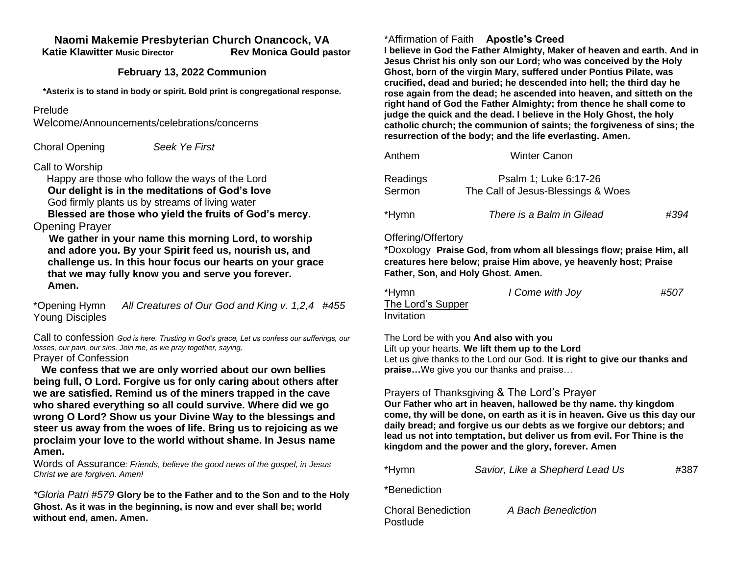#### **Naomi Makemie Presbyterian Church Onancock, VA Katie Klawitter Music Director Rev Monica Gould pastor**

### **February 13, 2022 Communion**

**\*Asterix is to stand in body or spirit. Bold print is congregational response.**

### Prelude

Welcome/Announcements/celebrations/concerns

Choral Opening *Seek Ye First*

### Call to Worship

 Happy are those who follow the ways of the Lord **Our delight is in the meditations of God's love** God firmly plants us by streams of living water

 **Blessed are those who yield the fruits of God's mercy.**  Opening Prayer

 **We gather in your name this morning Lord, to worship and adore you. By your Spirit feed us, nourish us, and challenge us. In this hour focus our hearts on your grace that we may fully know you and serve you forever. Amen.**

\*Opening Hymn *All Creatures of Our God and King v. 1,2,4 #455* Young Disciples

Call to confession *God is here. Trusting in God's grace, Let us confess our sufferings, our losses, our pain, our sins. Join me, as we pray together, saying,* Prayer of Confession

 **We confess that we are only worried about our own bellies being full, O Lord. Forgive us for only caring about others after we are satisfied. Remind us of the miners trapped in the cave who shared everything so all could survive. Where did we go wrong O Lord? Show us your Divine Way to the blessings and steer us away from the woes of life. Bring us to rejoicing as we proclaim your love to the world without shame. In Jesus name Amen.** 

Words of Assurance*: Friends, believe the good news of the gospel, in Jesus Christ we are forgiven. Amen!*

*\*Gloria Patri #579* **Glory be to the Father and to the Son and to the Holy Ghost. As it was in the beginning, is now and ever shall be; world without end, amen. Amen.** 

## \*Affirmation of Faith **Apostle's Creed**

**I believe in God the Father Almighty, Maker of heaven and earth. And in Jesus Christ his only son our Lord; who was conceived by the Holy Ghost, born of the virgin Mary, suffered under Pontius Pilate, was crucified, dead and buried; he descended into hell; the third day he rose again from the dead; he ascended into heaven, and sitteth on the right hand of God the Father Almighty; from thence he shall come to judge the quick and the dead. I believe in the Holy Ghost, the holy catholic church; the communion of saints; the forgiveness of sins; the resurrection of the body; and the life everlasting. Amen.**

| Anthem             | <b>Winter Canon</b>                                         |      |
|--------------------|-------------------------------------------------------------|------|
| Readings<br>Sermon | Psalm 1; Luke 6:17-26<br>The Call of Jesus-Blessings & Woes |      |
| *Hymn              | There is a Balm in Gilead                                   | #394 |

### Offering/Offertory

\*Doxology **Praise God, from whom all blessings flow; praise Him, all creatures here below; praise Him above, ye heavenly host; Praise Father, Son, and Holy Ghost. Amen.** 

| *Hymn             | I Come with Joy | #507 |
|-------------------|-----------------|------|
| The Lord's Supper |                 |      |
| Invitation        |                 |      |

The Lord be with you **And also with you** Lift up your hearts. **We lift them up to the Lord** Let us give thanks to the Lord our God. **It is right to give our thanks and praise…**We give you our thanks and praise…

# Prayers of Thanksgiving & The Lord's Prayer

**Our Father who art in heaven, hallowed be thy name. thy kingdom come, thy will be done, on earth as it is in heaven. Give us this day our daily bread; and forgive us our debts as we forgive our debtors; and lead us not into temptation, but deliver us from evil. For Thine is the kingdom and the power and the glory, forever. Amen**

| *Hymn | Savior, Like a Shepherd Lead Us | #387 |
|-------|---------------------------------|------|
|       |                                 |      |

\*Benediction

Postlude

Choral Benediction *A Bach Benediction*